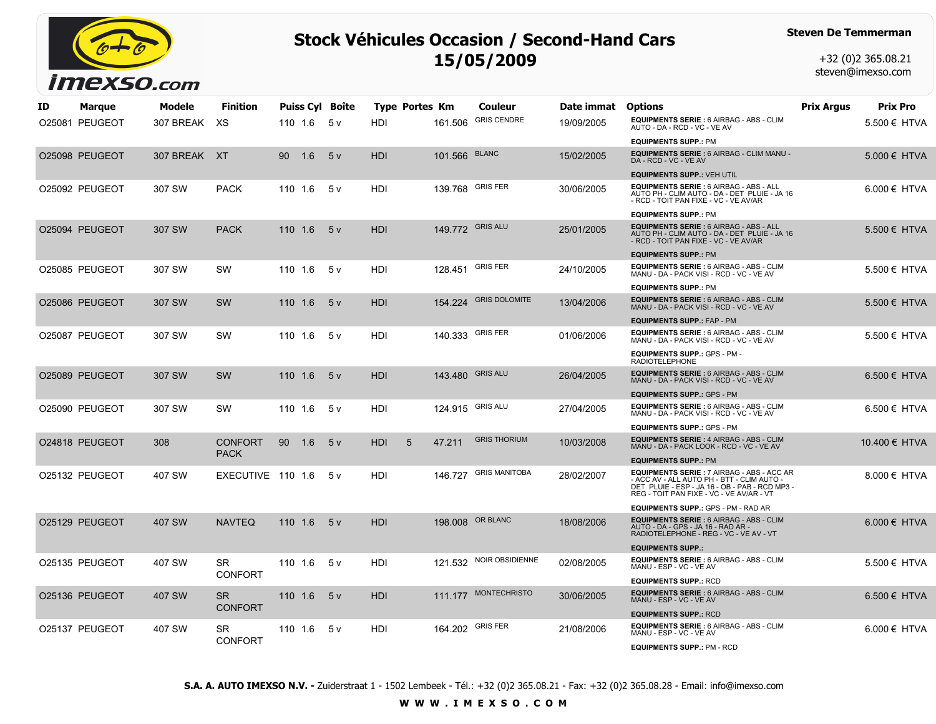

## **Stock Véhicules Occasion / Second-Hand Cars 15/05/2009**

## **Steven De Temmerman**

+32 (0)2 365.08.21 steven@imexso.com

| ID. | Marque         | Modele       | <b>Finition</b>               |         |         | <b>Puiss Cyl Boîte</b> | Type Portes Km  |                  | Couleur                | Date immat | <b>Options</b>                                                                                                                                                                                | Prix Argus | Prix Pro         |
|-----|----------------|--------------|-------------------------------|---------|---------|------------------------|-----------------|------------------|------------------------|------------|-----------------------------------------------------------------------------------------------------------------------------------------------------------------------------------------------|------------|------------------|
|     | O25081 PEUGEOT | 307 BREAK    | XS                            |         | 110 1.6 | 5 v                    | HDI             | 161.506          | <b>GRIS CENDRE</b>     | 19/09/2005 | EQUIPMENTS SERIE : 6 AIRBAG - ABS - CLIM<br>AUTO - DA - RCD - VC - VE AV                                                                                                                      |            | $5.500 \in$ HTVA |
|     |                |              |                               |         |         |                        |                 |                  |                        |            | <b>EQUIPMENTS SUPP.: PM</b>                                                                                                                                                                   |            |                  |
|     | O25098 PEUGEOT | 307 BREAK XT |                               | 90      | 1.6     | 5v                     | <b>HDI</b>      | 101.566          | <b>BLANC</b>           | 15/02/2005 | EQUIPMENTS SERIE : 6 AIRBAG - CLIM MANU -<br>DA - RCD - VC - VE AV                                                                                                                            |            | 5.000 € HTVA     |
|     |                |              |                               |         |         |                        |                 |                  |                        |            | <b>EQUIPMENTS SUPP.: VEH UTIL</b>                                                                                                                                                             |            |                  |
|     | O25092 PEUGEOT | 307 SW       | <b>PACK</b>                   | 110 1.6 |         | 5 v                    | HDI             | 139.768          | <b>GRIS FER</b>        | 30/06/2005 | EQUIPMENTS SERIE : 6 AIRBAG - ABS - ALL<br>AUTO PH - CLIM AUTO - DA - DET PLUIE - JA 16<br>- RCD - TOIT PAN FIXE - VC - VE AV/AR                                                              |            | $6.000 \in$ HTVA |
|     |                |              |                               |         |         |                        |                 |                  |                        |            | <b>EQUIPMENTS SUPP.: PM</b>                                                                                                                                                                   |            |                  |
|     | O25094 PEUGEOT | 307 SW       | <b>PACK</b>                   | 110 1.6 |         | 5 <sub>v</sub>         | HDI             | 149.772 GRIS ALU |                        | 25/01/2005 | EQUIPMENTS SERIE : 6 AIRBAG - ABS - ALL<br>AUTO PH - CLIM AUTO - DA - DET PLUIE - JA 16<br>- RCD - TOIT PAN FIXE - VC - VE AV/AR                                                              |            | 5.500 € HTVA     |
|     |                |              |                               |         |         |                        |                 |                  |                        |            | <b>EQUIPMENTS SUPP.: PM</b>                                                                                                                                                                   |            |                  |
|     | O25085 PEUGEOT | 307 SW       | <b>SW</b>                     | 110 1.6 |         | 5 v                    | HDI             | 128.451          | <b>GRIS FER</b>        | 24/10/2005 | EQUIPMENTS SERIE : 6 AIRBAG - ABS - CLIM<br>MANU - DA - PACK VISI - RCD - VC - VE AV                                                                                                          |            | 5.500 € HTVA     |
|     |                |              |                               |         |         |                        |                 |                  |                        |            | <b>EQUIPMENTS SUPP.: PM</b>                                                                                                                                                                   |            |                  |
|     | O25086 PEUGEOT | 307 SW       | <b>SW</b>                     | 110 1.6 |         | 5v                     | <b>HDI</b>      | 154.224          | <b>GRIS DOLOMITE</b>   | 13/04/2006 | <b>EQUIPMENTS SERIE: 6 AIRBAG - ABS - CLIM</b><br>MANU - DA - PACK VISI - RCD - VC - VE AV                                                                                                    |            | 5.500 € HTVA     |
|     |                |              |                               |         |         |                        |                 |                  |                        |            | <b>EQUIPMENTS SUPP.: FAP - PM</b>                                                                                                                                                             |            |                  |
|     | O25087 PEUGEOT | 307 SW       | <b>SW</b>                     |         | 110 1.6 | 5 v                    | HDI             | 140.333          | <b>GRIS FER</b>        | 01/06/2006 | EQUIPMENTS SERIE : 6 AIRBAG - ABS - CLIM<br>MANU - DA - PACK VISI - RCD - VC - VE AV                                                                                                          |            | 5.500 € HTVA     |
|     |                |              |                               |         |         |                        |                 |                  |                        |            | EQUIPMENTS SUPP.: GPS - PM -<br><b>RADIOTELEPHONE</b>                                                                                                                                         |            |                  |
|     | O25089 PEUGEOT | 307 SW       | <b>SW</b>                     | 110 1.6 |         | 5v                     | <b>HDI</b>      | 143.480          | <b>GRIS ALU</b>        | 26/04/2005 | EQUIPMENTS SERIE : 6 AIRBAG - ABS - CLIM<br>MANU - DA - PACK VISI - RCD - VC - VE AV                                                                                                          |            | 6.500 € HTVA     |
|     |                |              |                               |         |         |                        |                 |                  |                        |            | <b>EQUIPMENTS SUPP.: GPS - PM</b>                                                                                                                                                             |            |                  |
|     | O25090 PEUGEOT | 307 SW       | <b>SW</b>                     | 110 1.6 |         | 5v                     | HDI             | 124.915          | <b>GRIS ALU</b>        | 27/04/2005 | EQUIPMENTS SERIE : 6 AIRBAG - ABS - CLIM<br>MANU - DA - PACK VISI - RCD - VC - VE AV                                                                                                          |            | $6.500 \in$ HTVA |
|     |                |              |                               |         |         |                        |                 |                  |                        |            | <b>EQUIPMENTS SUPP.: GPS - PM</b>                                                                                                                                                             |            |                  |
|     | O24818 PEUGEOT | 308          | <b>CONFORT</b><br><b>PACK</b> | 90      | 1.6     | 5 <sub>v</sub>         | <b>HDI</b><br>5 | 47.211           | <b>GRIS THORIUM</b>    | 10/03/2008 | <b>EQUIPMENTS SERIE: 4 AIRBAG - ABS - CLIM</b><br>MANU - DA - PACK LOOK - RCD - VC - VE AV                                                                                                    |            | 10.400 € HTVA    |
|     |                |              |                               |         |         |                        |                 |                  |                        |            | <b>EQUIPMENTS SUPP.: PM</b>                                                                                                                                                                   |            |                  |
|     | O25132 PEUGEOT | 407 SW       | EXECUTIVE 110 1.6             |         |         | 5 v                    | HDI             | 146.727          | <b>GRIS MANITOBA</b>   | 28/02/2007 | <b>EQUIPMENTS SERIE : 7 AIRBAG - ABS - ACC AR</b><br>- ACC AV - ALL AUTO PH - BTT - CLIM AUTO -<br>DET PLUIE - ESP - JA 16 - OB - PAB - RCD MP3 -<br>REG - TOIT PAN FIXE - VC - VE AV/AR - VT |            | 8.000 € HTVA     |
|     |                |              |                               |         |         |                        |                 |                  |                        |            | <b>EQUIPMENTS SUPP.: GPS - PM - RAD AR</b>                                                                                                                                                    |            |                  |
|     | O25129 PEUGEOT | 407 SW       | <b>NAVTEQ</b>                 | 110 1.6 |         | 5v                     | <b>HDI</b>      | 198.008          | OR BLANC               | 18/08/2006 | EQUIPMENTS SERIE : 6 AIRBAG - ABS - CLIM<br>AUTO - DA - GPS - JA 16 - RAD AR -<br>RADIOTELEPHONE - REG - VC - VE AV - VT                                                                      |            | $6.000 \in$ HTVA |
|     |                |              |                               |         |         |                        |                 |                  |                        |            | <b>EQUIPMENTS SUPP.:</b>                                                                                                                                                                      |            |                  |
|     | O25135 PEUGEOT | 407 SW       | <b>SR</b><br><b>CONFORT</b>   | 110 1.6 |         | 5 v                    | HDI             | 121.532          | <b>NOIR OBSIDIENNE</b> | 02/08/2005 | <b>EQUIPMENTS SERIE: 6 AIRBAG - ABS - CLIM</b><br>MANU - ESP - VC - VE AV                                                                                                                     |            | 5.500 € HTVA     |
|     |                |              |                               |         |         |                        |                 |                  |                        |            | <b>EQUIPMENTS SUPP.: RCD</b>                                                                                                                                                                  |            |                  |
|     | O25136 PEUGEOT | 407 SW       | <b>SR</b><br><b>CONFORT</b>   |         | 110 1.6 | 5v                     | <b>HDI</b>      | 111.177          | <b>MONTECHRISTO</b>    | 30/06/2005 | <b>EQUIPMENTS SERIE: 6 AIRBAG - ABS - CLIM</b><br>MANU - ESP - VC - VE AV                                                                                                                     |            | $6.500 \in$ HTVA |
|     |                |              |                               |         |         |                        |                 |                  |                        |            | <b>EQUIPMENTS SUPP.: RCD</b>                                                                                                                                                                  |            |                  |
|     | O25137 PEUGEOT | 407 SW       | <b>SR</b><br><b>CONFORT</b>   | 110 1.6 |         | 5 v                    | HDI             |                  | 164.202 GRIS FER       | 21/08/2006 | EQUIPMENTS SERIE : 6 AIRBAG - ABS - CLIM<br>MANU - ESP - VC - VE AV<br><b>EQUIPMENTS SUPP.: PM - RCD</b>                                                                                      |            | 6.000 € HTVA     |

**S.A. A. AUTO IMEXSO N.V. -** Zuiderstraat 1 - 1502 Lembeek - Tél.: +32 (0)2 365.08.21 - Fax: +32 (0)2 365.08.28 - Email: info@imexso.com